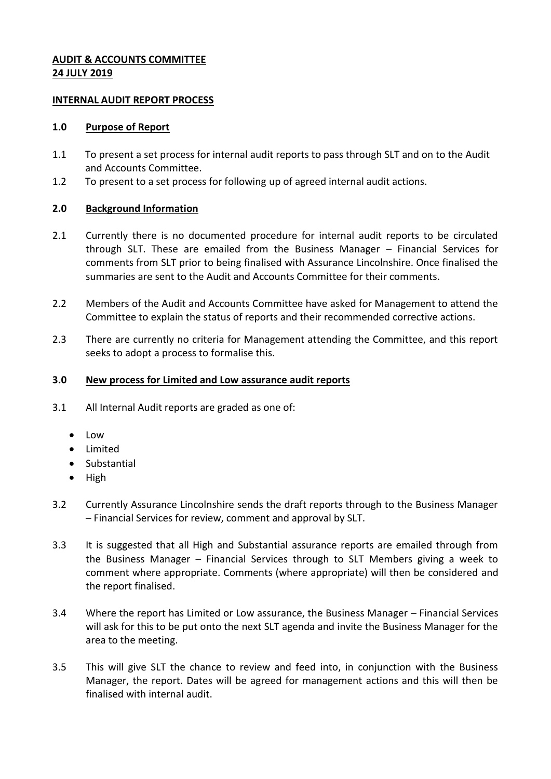## **AUDIT & ACCOUNTS COMMITTEE 24 JULY 2019**

## **INTERNAL AUDIT REPORT PROCESS**

### **1.0 Purpose of Report**

- 1.1 To present a set process for internal audit reports to pass through SLT and on to the Audit and Accounts Committee.
- 1.2 To present to a set process for following up of agreed internal audit actions.

# **2.0 Background Information**

- 2.1 Currently there is no documented procedure for internal audit reports to be circulated through SLT. These are emailed from the Business Manager – Financial Services for comments from SLT prior to being finalised with Assurance Lincolnshire. Once finalised the summaries are sent to the Audit and Accounts Committee for their comments.
- 2.2 Members of the Audit and Accounts Committee have asked for Management to attend the Committee to explain the status of reports and their recommended corrective actions.
- 2.3 There are currently no criteria for Management attending the Committee, and this report seeks to adopt a process to formalise this.

## **3.0 New process for Limited and Low assurance audit reports**

- 3.1 All Internal Audit reports are graded as one of:
	- $\bullet$  Low
	- Limited
	- Substantial
	- $\bullet$  High
- 3.2 Currently Assurance Lincolnshire sends the draft reports through to the Business Manager – Financial Services for review, comment and approval by SLT.
- 3.3 It is suggested that all High and Substantial assurance reports are emailed through from the Business Manager – Financial Services through to SLT Members giving a week to comment where appropriate. Comments (where appropriate) will then be considered and the report finalised.
- 3.4 Where the report has Limited or Low assurance, the Business Manager Financial Services will ask for this to be put onto the next SLT agenda and invite the Business Manager for the area to the meeting.
- 3.5 This will give SLT the chance to review and feed into, in conjunction with the Business Manager, the report. Dates will be agreed for management actions and this will then be finalised with internal audit.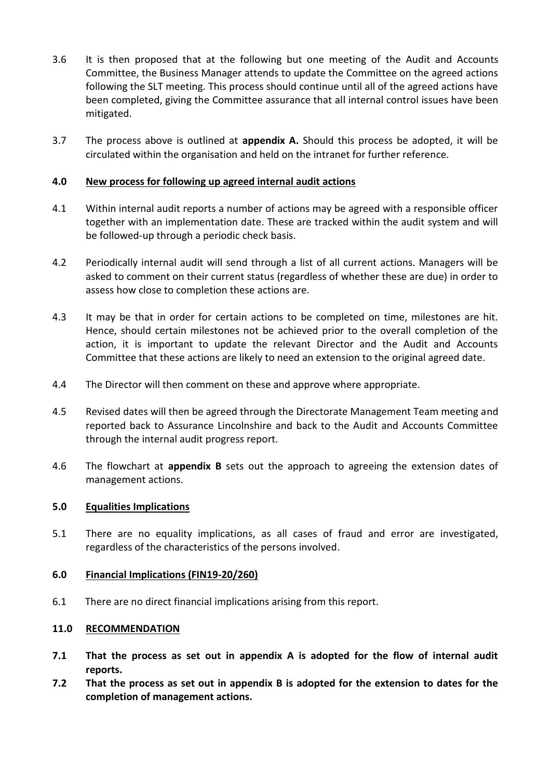- 3.6 It is then proposed that at the following but one meeting of the Audit and Accounts Committee, the Business Manager attends to update the Committee on the agreed actions following the SLT meeting. This process should continue until all of the agreed actions have been completed, giving the Committee assurance that all internal control issues have been mitigated.
- 3.7 The process above is outlined at **appendix A.** Should this process be adopted, it will be circulated within the organisation and held on the intranet for further reference.

## **4.0 New process for following up agreed internal audit actions**

- 4.1 Within internal audit reports a number of actions may be agreed with a responsible officer together with an implementation date. These are tracked within the audit system and will be followed-up through a periodic check basis.
- 4.2 Periodically internal audit will send through a list of all current actions. Managers will be asked to comment on their current status (regardless of whether these are due) in order to assess how close to completion these actions are.
- 4.3 It may be that in order for certain actions to be completed on time, milestones are hit. Hence, should certain milestones not be achieved prior to the overall completion of the action, it is important to update the relevant Director and the Audit and Accounts Committee that these actions are likely to need an extension to the original agreed date.
- 4.4 The Director will then comment on these and approve where appropriate.
- 4.5 Revised dates will then be agreed through the Directorate Management Team meeting and reported back to Assurance Lincolnshire and back to the Audit and Accounts Committee through the internal audit progress report.
- 4.6 The flowchart at **appendix B** sets out the approach to agreeing the extension dates of management actions.

### **5.0 Equalities Implications**

5.1 There are no equality implications, as all cases of fraud and error are investigated, regardless of the characteristics of the persons involved.

### **6.0 Financial Implications (FIN19-20/260)**

6.1 There are no direct financial implications arising from this report.

### **11.0 RECOMMENDATION**

- **7.1 That the process as set out in appendix A is adopted for the flow of internal audit reports.**
- **7.2 That the process as set out in appendix B is adopted for the extension to dates for the completion of management actions.**